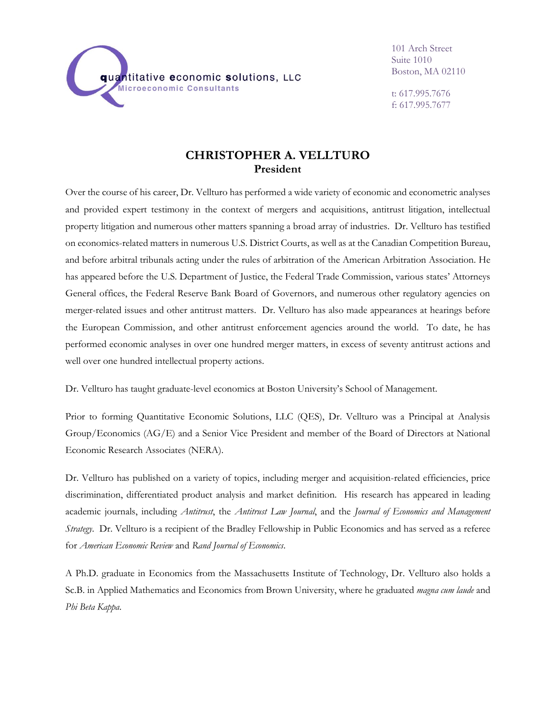

101 Arch Street Suite 1010 Boston, MA 02110

t: 617.995.7676 f: 617.995.7677

# **CHRISTOPHER A. VELLTURO President**

Over the course of his career, Dr. Vellturo has performed a wide variety of economic and econometric analyses and provided expert testimony in the context of mergers and acquisitions, antitrust litigation, intellectual property litigation and numerous other matters spanning a broad array of industries. Dr. Vellturo has testified on economics-related matters in numerous U.S. District Courts, as well as at the Canadian Competition Bureau, and before arbitral tribunals acting under the rules of arbitration of the American Arbitration Association. He has appeared before the U.S. Department of Justice, the Federal Trade Commission, various states' Attorneys General offices, the Federal Reserve Bank Board of Governors, and numerous other regulatory agencies on merger-related issues and other antitrust matters. Dr. Vellturo has also made appearances at hearings before the European Commission, and other antitrust enforcement agencies around the world. To date, he has performed economic analyses in over one hundred merger matters, in excess of seventy antitrust actions and well over one hundred intellectual property actions.

Dr. Vellturo has taught graduate-level economics at Boston University's School of Management.

Prior to forming Quantitative Economic Solutions, LLC (QES), Dr. Vellturo was a Principal at Analysis Group/Economics (AG/E) and a Senior Vice President and member of the Board of Directors at National Economic Research Associates (NERA).

Dr. Vellturo has published on a variety of topics, including merger and acquisition-related efficiencies, price discrimination, differentiated product analysis and market definition. His research has appeared in leading academic journals, including *Antitrust*, the *Antitrust Law Journal*, and the *Journal of Economics and Management Strategy*. Dr. Vellturo is a recipient of the Bradley Fellowship in Public Economics and has served as a referee for *American Economic Review* and *Rand Journal of Economics*.

A Ph.D. graduate in Economics from the Massachusetts Institute of Technology, Dr. Vellturo also holds a Sc.B. in Applied Mathematics and Economics from Brown University, where he graduated *magna cum laude* and *Phi Beta Kappa*.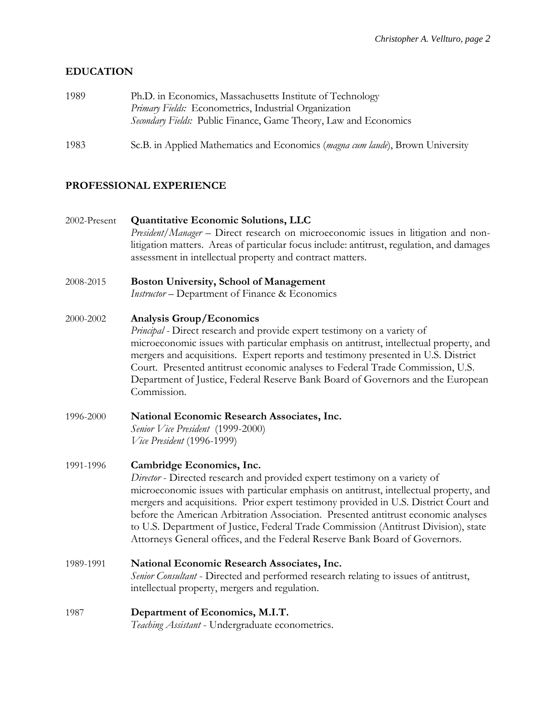### **EDUCATION**

- 1989 Ph.D. in Economics, Massachusetts Institute of Technology *Primary Fields:* Econometrics, Industrial Organization *Secondary Fields:* Public Finance, Game Theory, Law and Economics
- 1983 Sc.B. in Applied Mathematics and Economics (*magna cum laude*), Brown University

### **PROFESSIONAL EXPERIENCE**

- 2002-Present **Quantitative Economic Solutions, LLC** *President/Manager* – Direct research on microeconomic issues in litigation and nonlitigation matters. Areas of particular focus include: antitrust, regulation, and damages assessment in intellectual property and contract matters.
- 2008-2015 **Boston University, School of Management** *Instructor* – Department of Finance & Economics

#### 2000-2002 **Analysis Group/Economics**

*Principal -* Direct research and provide expert testimony on a variety of microeconomic issues with particular emphasis on antitrust, intellectual property, and mergers and acquisitions. Expert reports and testimony presented in U.S. District Court. Presented antitrust economic analyses to Federal Trade Commission, U.S. Department of Justice, Federal Reserve Bank Board of Governors and the European Commission.

1996-2000 **National Economic Research Associates, Inc.** *Senior Vice President* (1999-2000) *Vice President* (1996-1999)

#### 1991-1996 **Cambridge Economics, Inc.**

*Director* - Directed research and provided expert testimony on a variety of microeconomic issues with particular emphasis on antitrust, intellectual property, and mergers and acquisitions. Prior expert testimony provided in U.S. District Court and before the American Arbitration Association. Presented antitrust economic analyses to U.S. Department of Justice, Federal Trade Commission (Antitrust Division), state Attorneys General offices, and the Federal Reserve Bank Board of Governors.

1989-1991 **National Economic Research Associates, Inc.** *Senior Consultant* - Directed and performed research relating to issues of antitrust, intellectual property, mergers and regulation.

#### 1987 **Department of Economics, M.I.T.** *Teaching Assistant* - Undergraduate econometrics.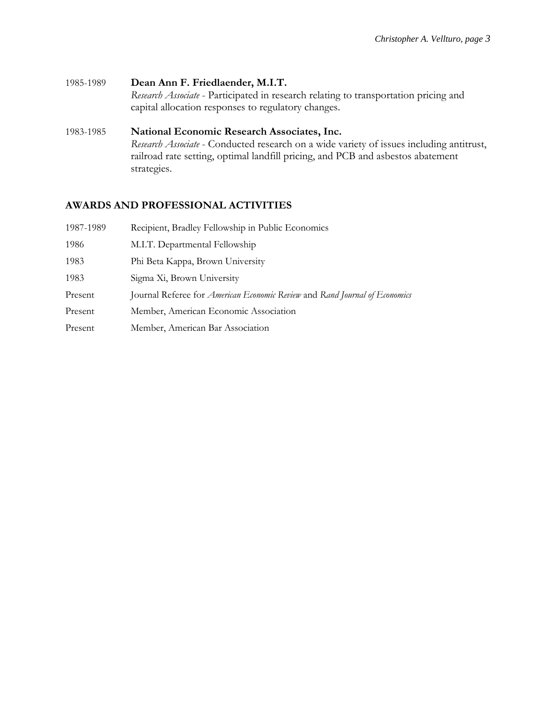1985-1989 **Dean Ann F. Friedlaender, M.I.T.** *Research Associate* - Participated in research relating to transportation pricing and capital allocation responses to regulatory changes. 1983-1985 **National Economic Research Associates, Inc.** *Research Associate* - Conducted research on a wide variety of issues including antitrust, railroad rate setting, optimal landfill pricing, and PCB and asbestos abatement strategies.

## **AWARDS AND PROFESSIONAL ACTIVITIES**

| 1987-1989 | Recipient, Bradley Fellowship in Public Economics                                 |
|-----------|-----------------------------------------------------------------------------------|
| 1986      | M.I.T. Departmental Fellowship                                                    |
| 1983      | Phi Beta Kappa, Brown University                                                  |
| 1983      | Sigma Xi, Brown University                                                        |
| Present   | Journal Referee for <i>American Economic Review</i> and Rand Journal of Economics |
| Present   | Member, American Economic Association                                             |
| Present   | Member, American Bar Association                                                  |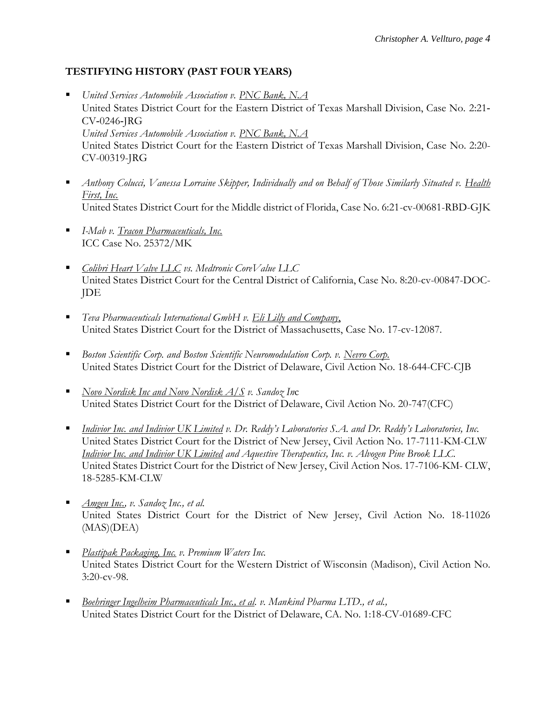## **TESTIFYING HISTORY (PAST FOUR YEARS)**

- *United Services Automobile Association v. PNC Bank, N.A* United States District Court for the Eastern District of Texas Marshall Division, Case No. 2:21‐ CV‐0246‐JRG *United Services Automobile Association v. PNC Bank, N.A* United States District Court for the Eastern District of Texas Marshall Division, Case No. 2:20- CV-00319-JRG
- *Anthony Colucci, Vanessa Lorraine Skipper, Individually and on Behalf of Those Similarly Situated v.* Health *First, Inc.* United States District Court for the Middle district of Florida, Case No. 6:21-cv-00681-RBD-GJK
- *I-Mab v. Tracon Pharmaceuticals, Inc.* ICC Case No. 25372/MK
- *Colibri Heart Valve LLC vs. Medtronic CoreValue LLC* United States District Court for the Central District of California, Case No. 8:20-cv-00847-DOC-JDE
- *Teva Pharmaceuticals International GmbH v. Eli Lilly and Company*, United States District Court for the District of Massachusetts, Case No. 17-cv-12087.
- *Boston Scientific Corp. and Boston Scientific Neuromodulation Corp. v. Nevro Corp.* United States District Court for the District of Delaware, Civil Action No. 18-644-CFC-CJB
- *Novo Nordisk Inc and Novo Nordisk A/S v. Sandoz In*c United States District Court for the District of Delaware, Civil Action No. 20-747(CFC)
- *Indivior Inc. and Indivior UK Limited v. Dr. Reddy's Laboratories S.A. and Dr. Reddy's Laboratories, Inc.* United States District Court for the District of New Jersey, Civil Action No. 17-7111-KM-CLW *Indivior Inc. and Indivior UK Limited and Aquestive Therapeutics, Inc. v. Alvogen Pine Brook LLC.* United States District Court for the District of New Jersey, Civil Action Nos. 17-7106-KM- CLW, 18-5285-KM-CLW
- *Amgen Inc., v. Sandoz Inc., et al.*  United States District Court for the District of New Jersey, Civil Action No. 18-11026 (MAS)(DEA)
- *Plastipak Packaging, Inc. v. Premium Waters Inc.* United States District Court for the Western District of Wisconsin (Madison), Civil Action No. 3:20-cv-98.
- *<u>Boehringer Ingelheim Pharmaceuticals Inc., et al.</u> v. Mankind Pharma LTD., et al.,* United States District Court for the District of Delaware, CA. No. 1:18-CV-01689-CFC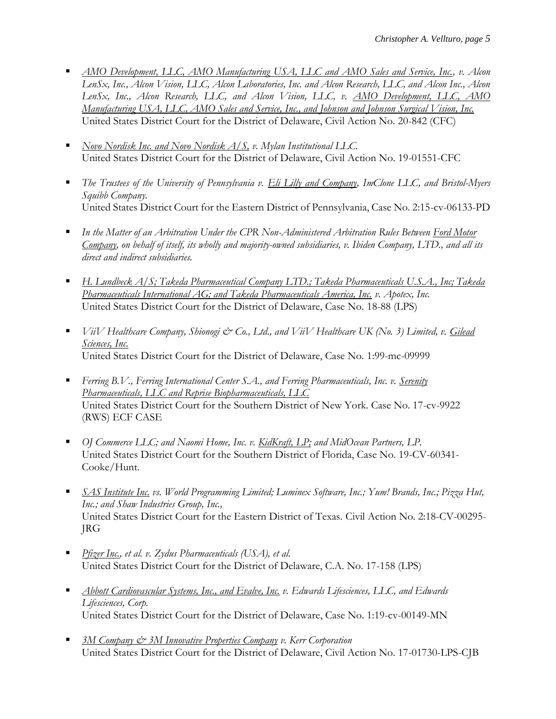- *AMO Development, LLC, AMO Manufacturing USA, LLC and AMO Sales and Service, Inc., v. Alcon LenSx, Inc., Alcon Vision, LLC, Alcon Laboratories, Inc. and Alcon Research, LLC, and Alcon Inc., Alcon LenSx, Inc., Alcon Research, LLC, and Alcon Vision, LLC, v. AMO Development, LLC, AMO Manufacturing USA, LLC, AMO Sales and Service, Inc., and Johnson and Johnson Surgical Vision, Inc.* United States District Court for the District of Delaware, Civil Action No. 20-842 (CFC)
- *Novo Nordisk Inc. and Novo Nordisk A/S, v. Mylan Institutional LLC.* United States District Court for the District of Delaware, Civil Action No. 19-01551-CFC
- *The Trustees of the University of Pennsylvania v.* Eli Lilly and Company, ImClone LLC, and Bristol-Myers *Squibb Company.* United States District Court for the Eastern District of Pennsylvania, Case No. 2:15-cv-06133-PD
- *In the Matter of an Arbitration Under the CPR Non-Administered Arbitration Rules Between Ford Motor Company, on behalf of itself, its wholly and majority-owned subsidiaries, v. Ibiden Company, LTD., and all its direct and indirect subsidiaries.*
- *H. Lundbeck A/S; Takeda Pharmaceutical Company LTD.; Takeda Pharmaceuticals U.S.A., Inc; Takeda Pharmaceuticals International AG; and Takeda Pharmaceuticals America, Inc. v. Apotex, Inc.* United States District Court for the District of Delaware, Case No. 18-88 (LPS)
- *ViiV* Healthcare Company, Shionogi & Co., Ltd., and ViiV Healthcare UK (No. 3) Limited, v. Gilead *Sciences, Inc.* United States District Court for the District of Delaware, Case No. 1:99-mc-09999
- *Ferring B.V., Ferring International Center S.A., and Ferring Pharmaceuticals, Inc. v. Serenity Pharmaceuticals, LLC and Reprise Biopharmaceuticals, LLC* United States District Court for the Southern District of New York. Case No. 17-cv-9922 (RWS) ECF CASE
- *OJ Commerce LLC; and Naomi Home, Inc. v. KidKraft, LP; and MidOcean Partners, LP.* United States District Court for the Southern District of Florida, Case No. 19-CV-60341- Cooke/Hunt.
- *SAS Institute Inc. vs. World Programming Limited; Luminex Software, Inc.; Yum! Brands, Inc.; Pizza Hut, Inc.; and Shaw Industries Group, Inc.,*  United States District Court for the Eastern District of Texas. Civil Action No. 2:18-CV-00295- JRG
- *Pfizer Inc., et al. v. Zydus Pharmaceuticals (USA), et al.* United States District Court for the District of Delaware, C.A. No. 17-158 (LPS)
- *Abbott Cardiovascular Systems, Inc., and Evalve, Inc. v. Edwards Lifesciences, LLC, and Edwards Lifesciences, Corp.* United States District Court for the District of Delaware, Case No. 1:19-cv-00149-MN
- *3M Company & 3M Innovative Properties Company v. Kerr Corporation* United States District Court for the District of Delaware, Civil Action No. 17-01730-LPS-CJB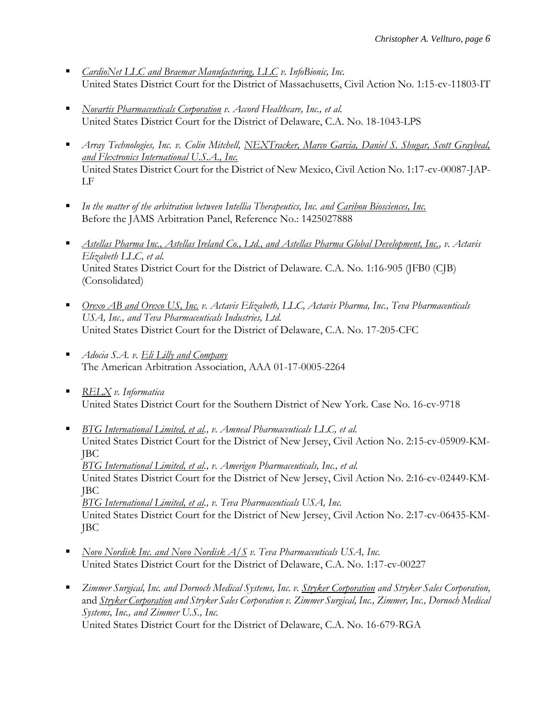- *CardioNet LLC and Braemar Manufacturing, LLC v. InfoBionic, Inc.* United States District Court for the District of Massachusetts, Civil Action No. 1:15-cv-11803-IT
- *Novartis Pharmaceuticals Corporation v. Accord Healthcare, Inc., et al.* United States District Court for the District of Delaware, C.A. No. 18-1043-LPS
- *Array Technologies, Inc. v. Colin Mitchell, NEXTracker, Marco Garcia, Daniel S. Shugar, Scott Graybeal*, *and Flextronics International U.S.A., Inc.* United States District Court for the District of New Mexico, Civil Action No. 1:17-cv-00087-JAP-LF
- *In the matter of the arbitration between Intellia Therapeutics, Inc. and Caribou Biosciences, Inc.* Before the JAMS Arbitration Panel, Reference No.: 1425027888
- *Astellas Pharma Inc., Astellas Ireland Co., Ltd., and Astellas Pharma Global Development, Inc., v. Actavis Elizabeth LLC, et al.* United States District Court for the District of Delaware. C.A. No. 1:16-905 (JFB0 (CJB) (Consolidated)
- *Orexo AB and Orexo US, Inc. v. Actavis Elizabeth, LLC, Actavis Pharma, Inc., Teva Pharmaceuticals USA, Inc., and Teva Pharmaceuticals Industries, Ltd.* United States District Court for the District of Delaware, C.A. No. 17-205-CFC
- *Adocia S.A. v. Eli Lilly and Company* The American Arbitration Association, AAA 01-17-0005-2264
- *RELX v. Informatica* United States District Court for the Southern District of New York. Case No. 16-cv-9718
- *BTG International Limited, et al., v. Amneal Pharmaceuticals LLC, et al.* United States District Court for the District of New Jersey, Civil Action No. 2:15-cv-05909-KM-JBC *BTG International Limited, et al., v. Amerigen Pharmaceuticals, Inc., et al.* United States District Court for the District of New Jersey, Civil Action No. 2:16-cv-02449-KM-JBC

*BTG International Limited, et al., v. Teva Pharmaceuticals USA, Inc.* United States District Court for the District of New Jersey, Civil Action No. 2:17-cv-06435-KM-JBC

- *Novo Nordisk Inc. and Novo Nordisk A/S v. Teva Pharmaceuticals USA, Inc.* United States District Court for the District of Delaware, C.A. No. 1:17-cv-00227
- *Zimmer Surgical, Inc. and Dornoch Medical Systems, Inc. v. Stryker Corporation and Stryker Sales Corporation,*  and *Stryker Corporation and Stryker Sales Corporation v. Zimmer Surgical, Inc., Zimmer, Inc., Dornoch Medical Systems, Inc., and Zimmer U.S., Inc.*

United States District Court for the District of Delaware, C.A. No. 16-679-RGA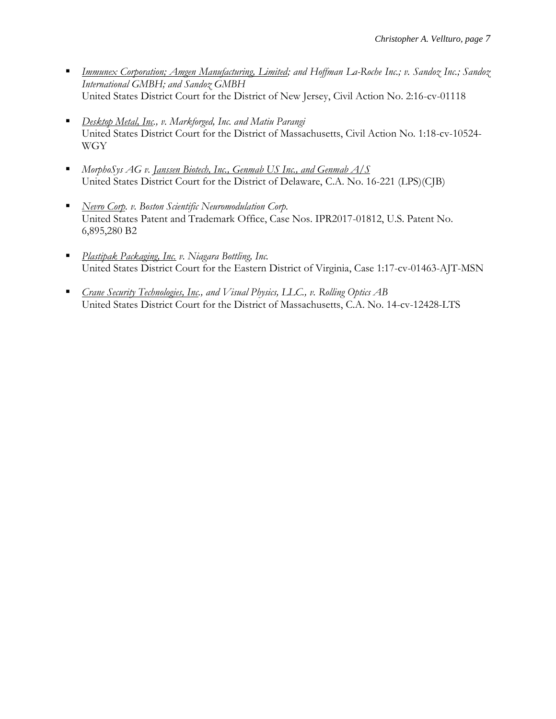- **Immunex Corporation; Amgen Manufacturing, Limited; and Hoffman La-Roche Inc.; v. Sandoz Inc.; Sandoz** *International GMBH; and Sandoz GMBH* United States District Court for the District of New Jersey, Civil Action No. 2:16-cv-01118
- *Desktop Metal, Inc., v. Markforged, Inc. and Matiu Parangi* United States District Court for the District of Massachusetts, Civil Action No. 1:18-cv-10524- WGY
- *MorphoSys AG v. <u>Janssen Biotech</u>, Inc., Genmab US Inc., and Genmab A/S* United States District Court for the District of Delaware, C.A. No. 16-221 (LPS)(CJB)
- *Nevro Corp. v. Boston Scientific Neuromodulation Corp.* United States Patent and Trademark Office, Case Nos. IPR2017-01812, U.S. Patent No. 6,895,280 B2
- *Plastipak Packaging, Inc. v. Niagara Bottling, Inc.*  United States District Court for the Eastern District of Virginia, Case 1:17-cv-01463-AJT-MSN
- *Crane Security Technologies, Inc., and Visual Physics, LLC., v. Rolling Optics AB* United States District Court for the District of Massachusetts, C.A. No. 14-cv-12428-LTS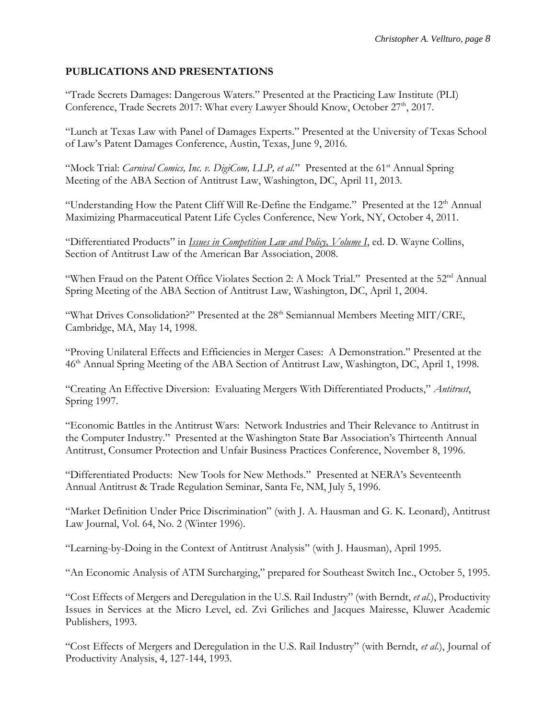### **PUBLICATIONS AND PRESENTATIONS**

"Trade Secrets Damages: Dangerous Waters." Presented at the Practicing Law Institute (PLI) Conference, Trade Secrets 2017: What every Lawyer Should Know, October 27<sup>th</sup>, 2017.

"Lunch at Texas Law with Panel of Damages Experts." Presented at the University of Texas School of Law's Patent Damages Conference, Austin, Texas, June 9, 2016.

"Mock Trial: *Carnival Comics, Inc. v. DigiCom, LLP, et al.*" Presented at the 61<sup>st</sup> Annual Spring Meeting of the ABA Section of Antitrust Law, Washington, DC, April 11, 2013.

"Understanding How the Patent Cliff Will Re-Define the Endgame." Presented at the 12<sup>th</sup> Annual Maximizing Pharmaceutical Patent Life Cycles Conference, New York, NY, October 4, 2011.

"Differentiated Products" in *Issues in Competition Law and Policy, Volume I*, ed. D. Wayne Collins, Section of Antitrust Law of the American Bar Association, 2008.

"When Fraud on the Patent Office Violates Section 2: A Mock Trial." Presented at the 52<sup>nd</sup> Annual Spring Meeting of the ABA Section of Antitrust Law, Washington, DC, April 1, 2004.

"What Drives Consolidation?" Presented at the 28<sup>th</sup> Semiannual Members Meeting MIT/CRE, Cambridge, MA, May 14, 1998.

"Proving Unilateral Effects and Efficiencies in Merger Cases: A Demonstration." Presented at the 46<sup>th</sup> Annual Spring Meeting of the ABA Section of Antitrust Law, Washington, DC, April 1, 1998.

"Creating An Effective Diversion: Evaluating Mergers With Differentiated Products," *Antitrust*, Spring 1997.

"Economic Battles in the Antitrust Wars: Network Industries and Their Relevance to Antitrust in the Computer Industry." Presented at the Washington State Bar Association's Thirteenth Annual Antitrust, Consumer Protection and Unfair Business Practices Conference, November 8, 1996.

"Differentiated Products: New Tools for New Methods." Presented at NERA's Seventeenth Annual Antitrust & Trade Regulation Seminar, Santa Fe, NM, July 5, 1996.

"Market Definition Under Price Discrimination" (with J. A. Hausman and G. K. Leonard), Antitrust Law Journal, Vol. 64, No. 2 (Winter 1996).

"Learning-by-Doing in the Context of Antitrust Analysis" (with J. Hausman), April 1995.

"An Economic Analysis of ATM Surcharging," prepared for Southeast Switch Inc., October 5, 1995.

"Cost Effects of Mergers and Deregulation in the U.S. Rail Industry" (with Berndt, *et al*.), Productivity Issues in Services at the Micro Level, ed. Zvi Griliches and Jacques Mairesse, Kluwer Academic Publishers, 1993.

"Cost Effects of Mergers and Deregulation in the U.S. Rail Industry" (with Berndt, *et al*.), Journal of Productivity Analysis, 4, 127-144, 1993.